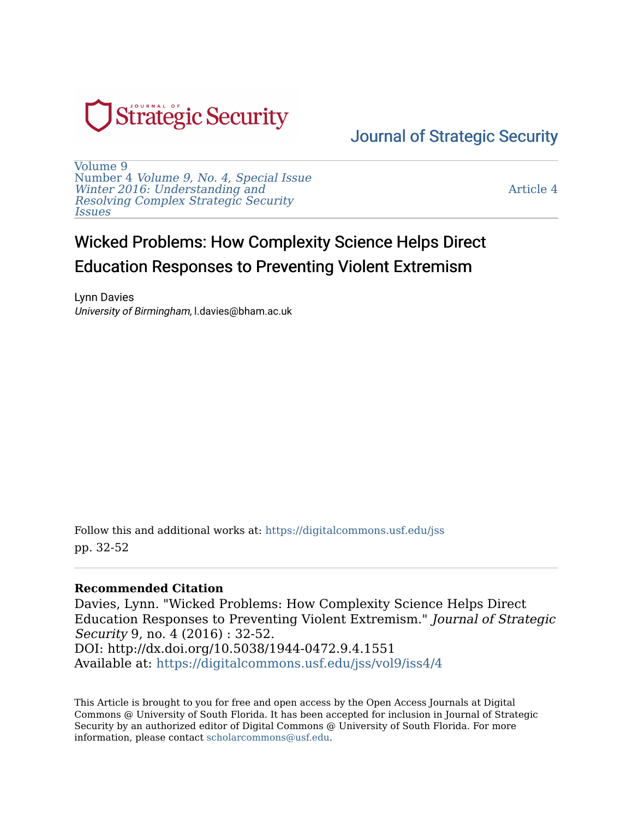

[Journal of Strategic Security](https://digitalcommons.usf.edu/jss) 

[Volume 9](https://digitalcommons.usf.edu/jss/vol9)  Number 4 [Volume 9, No. 4, Special Issue](https://digitalcommons.usf.edu/jss/vol9/iss4) [Winter 2016: Understanding and](https://digitalcommons.usf.edu/jss/vol9/iss4) [Resolving Complex Strategic Security](https://digitalcommons.usf.edu/jss/vol9/iss4)  [Issues](https://digitalcommons.usf.edu/jss/vol9/iss4) 

[Article 4](https://digitalcommons.usf.edu/jss/vol9/iss4/4) 

# Wicked Problems: How Complexity Science Helps Direct Education Responses to Preventing Violent Extremism

Lynn Davies University of Birmingham, l.davies@bham.ac.uk

Follow this and additional works at: [https://digitalcommons.usf.edu/jss](https://digitalcommons.usf.edu/jss?utm_source=digitalcommons.usf.edu%2Fjss%2Fvol9%2Fiss4%2F4&utm_medium=PDF&utm_campaign=PDFCoverPages) pp. 32-52

### **Recommended Citation**

Davies, Lynn. "Wicked Problems: How Complexity Science Helps Direct Education Responses to Preventing Violent Extremism." Journal of Strategic Security 9, no. 4 (2016) : 32-52. DOI: http://dx.doi.org/10.5038/1944-0472.9.4.1551 Available at: [https://digitalcommons.usf.edu/jss/vol9/iss4/4](https://digitalcommons.usf.edu/jss/vol9/iss4/4?utm_source=digitalcommons.usf.edu%2Fjss%2Fvol9%2Fiss4%2F4&utm_medium=PDF&utm_campaign=PDFCoverPages)

This Article is brought to you for free and open access by the Open Access Journals at Digital Commons @ University of South Florida. It has been accepted for inclusion in Journal of Strategic Security by an authorized editor of Digital Commons @ University of South Florida. For more information, please contact [scholarcommons@usf.edu.](mailto:scholarcommons@usf.edu)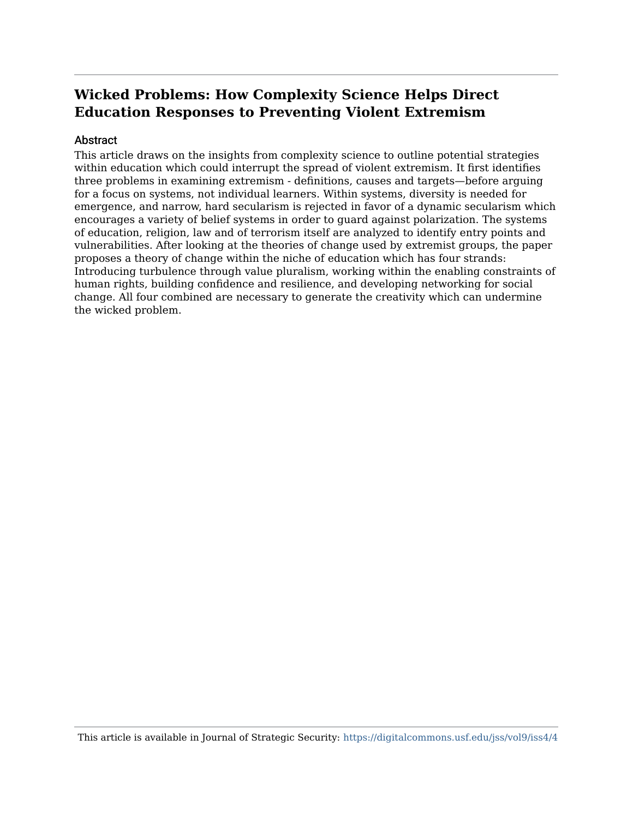# **Wicked Problems: How Complexity Science Helps Direct Education Responses to Preventing Violent Extremism**

### **Abstract**

This article draws on the insights from complexity science to outline potential strategies within education which could interrupt the spread of violent extremism. It first identifies three problems in examining extremism - definitions, causes and targets—before arguing for a focus on systems, not individual learners. Within systems, diversity is needed for emergence, and narrow, hard secularism is rejected in favor of a dynamic secularism which encourages a variety of belief systems in order to guard against polarization. The systems of education, religion, law and of terrorism itself are analyzed to identify entry points and vulnerabilities. After looking at the theories of change used by extremist groups, the paper proposes a theory of change within the niche of education which has four strands: Introducing turbulence through value pluralism, working within the enabling constraints of human rights, building confidence and resilience, and developing networking for social change. All four combined are necessary to generate the creativity which can undermine the wicked problem.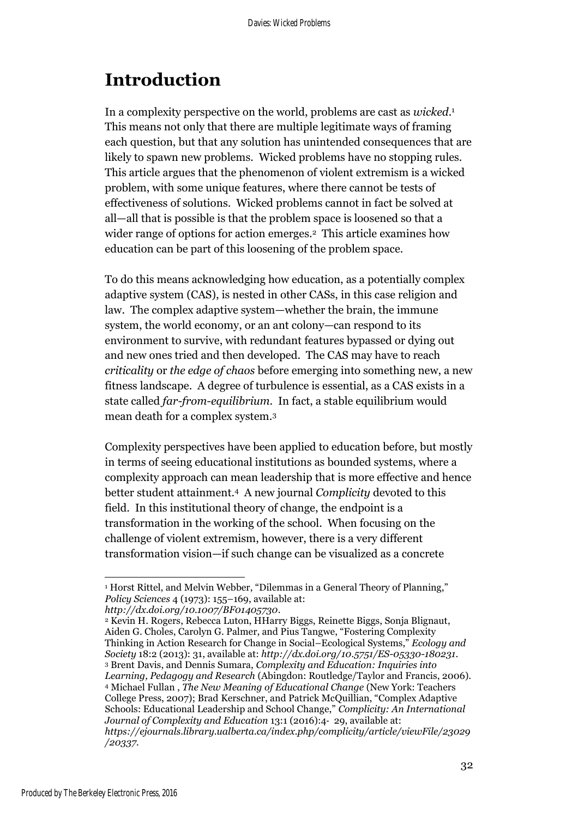# **Introduction**

In a complexity perspective on the world, problems are cast as *wicked*. 1 This means not only that there are multiple legitimate ways of framing each question, but that any solution has unintended consequences that are likely to spawn new problems. Wicked problems have no stopping rules. This article argues that the phenomenon of violent extremism is a wicked problem, with some unique features, where there cannot be tests of effectiveness of solutions. Wicked problems cannot in fact be solved at all—all that is possible is that the problem space is loosened so that a wider range of options for action emerges.<sup>2</sup> This article examines how education can be part of this loosening of the problem space.

To do this means acknowledging how education, as a potentially complex adaptive system (CAS), is nested in other CASs, in this case religion and law. The complex adaptive system—whether the brain, the immune system, the world economy, or an ant colony—can respond to its environment to survive, with redundant features bypassed or dying out and new ones tried and then developed. The CAS may have to reach *criticality* or *the edge of chaos* before emerging into something new, a new fitness landscape. A degree of turbulence is essential, as a CAS exists in a state called *far-from-equilibrium*. In fact, a stable equilibrium would mean death for a complex system. 3

Complexity perspectives have been applied to education before, but mostly in terms of seeing educational institutions as bounded systems, where a complexity approach can mean leadership that is more effective and hence better student attainment.4 A new journal *Complicity* devoted to this field. In this institutional theory of change, the endpoint is a transformation in the working of the school. When focusing on the challenge of violent extremism, however, there is a very different transformation vision—if such change can be visualized as a concrete

<sup>&</sup>lt;sup>1</sup> Horst Rittel, and Melvin Webber, "Dilemmas in a General Theory of Planning," *Policy Sciences* 4 (1973): 155–169, available at:

*http://dx.doi.org/10.1007/BF01405730*.

<sup>2</sup> Kevin H. Rogers, Rebecca Luton, HHarry Biggs, Reinette Biggs, Sonja Blignaut, Aiden G. Choles, Carolyn G. Palmer, and Pius Tangwe, "Fostering Complexity Thinking in Action Research for Change in Social–Ecological Systems," *Ecology and Society* 18:2 (2013): 31, available at: *<http://dx.doi.org/10.5751/ES-05330-180231>*. <sup>3</sup> Brent Davis, and Dennis Sumara, *Complexity and Education: Inquiries into Learning, Pedagogy and Research* (Abingdon: Routledge/Taylor and Francis, 2006). <sup>4</sup> Michael Fullan , *The New Meaning of Educational Change* (New York: Teachers College Press, 2007); Brad Kerschner, and Patrick McQuillian, "Complex Adaptive Schools: Educational Leadership and School Change," *Complicity: An International Journal of Complexity and Education* 13:1 (2016):4‐ 29, available at: *https://ejournals.library.ualberta.ca/index.php/complicity/article/viewFile/23029 /20337.*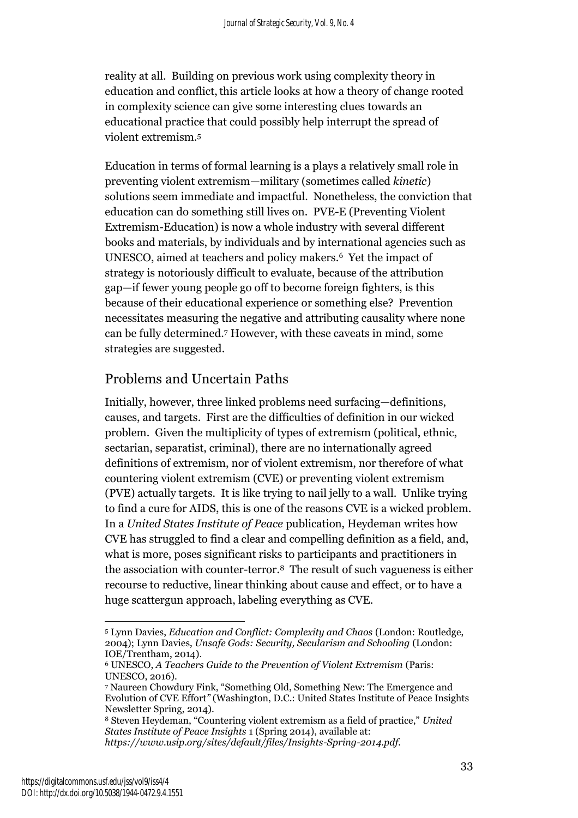reality at all. Building on previous work using complexity theory in education and conflict, this article looks at how a theory of change rooted in complexity science can give some interesting clues towards an educational practice that could possibly help interrupt the spread of violent extremism.<sup>5</sup>

Education in terms of formal learning is a plays a relatively small role in preventing violent extremism—military (sometimes called *kinetic*) solutions seem immediate and impactful. Nonetheless, the conviction that education can do something still lives on. PVE-E (Preventing Violent Extremism-Education) is now a whole industry with several different books and materials, by individuals and by international agencies such as UNESCO, aimed at teachers and policy makers. <sup>6</sup> Yet the impact of strategy is notoriously difficult to evaluate, because of the attribution gap—if fewer young people go off to become foreign fighters, is this because of their educational experience or something else? Prevention necessitates measuring the negative and attributing causality where none can be fully determined.<sup>7</sup> However, with these caveats in mind, some strategies are suggested.

# Problems and Uncertain Paths

Initially, however, three linked problems need surfacing—definitions, causes, and targets. First are the difficulties of definition in our wicked problem. Given the multiplicity of types of extremism (political, ethnic, sectarian, separatist, criminal), there are no internationally agreed definitions of extremism, nor of violent extremism, nor therefore of what countering violent extremism (CVE) or preventing violent extremism (PVE) actually targets. It is like trying to nail jelly to a wall. Unlike trying to find a cure for AIDS, this is one of the reasons CVE is a wicked problem. In a *United States Institute of Peace* publication, Heydeman writes how CVE has struggled to find a clear and compelling definition as a field, and, what is more, poses significant risks to participants and practitioners in the association with counter-terror. <sup>8</sup> The result of such vagueness is either recourse to reductive, linear thinking about cause and effect, or to have a huge scattergun approach, labeling everything as CVE.

 $\overline{a}$ <sup>5</sup> Lynn Davies, *Education and Conflict: Complexity and Chaos* (London: Routledge, 2004); Lynn Davies, *Unsafe Gods: Security, Secularism and Schooling* (London: IOE/Trentham, 2014).

<sup>6</sup> UNESCO, *A Teachers Guide to the Prevention of Violent Extremism* (Paris: UNESCO, 2016).

<sup>7</sup> Naureen Chowdury Fink, "Something Old, Something New: The Emergence and Evolution of CVE Effort*"* (Washington, D.C.: United States Institute of Peace Insights Newsletter Spring, 2014).

<sup>8</sup> Steven Heydeman, "Countering violent extremism as a field of practice," *United States Institute of Peace Insights* 1 (Spring 2014), available at: *https://www.usip.org/sites/default/files/Insights-Spring-2014.pdf.*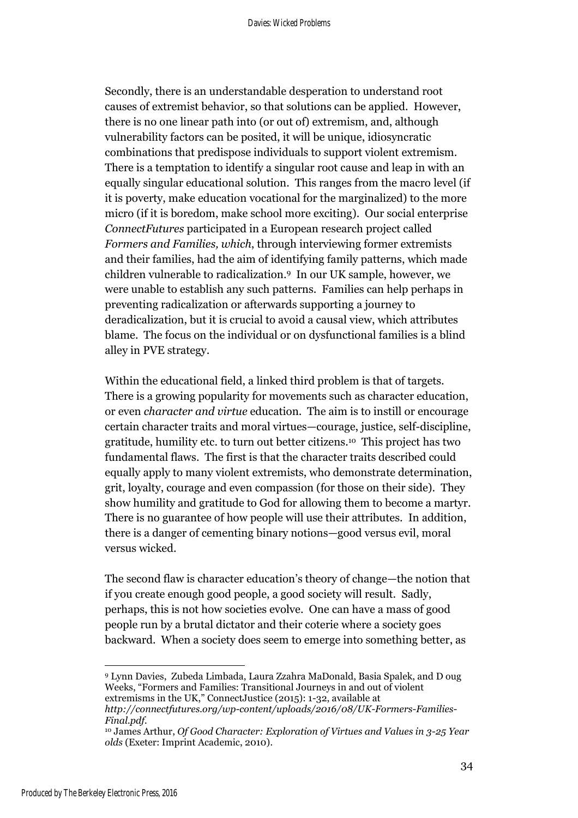Secondly, there is an understandable desperation to understand root causes of extremist behavior, so that solutions can be applied. However, there is no one linear path into (or out of) extremism, and, although vulnerability factors can be posited, it will be unique, idiosyncratic combinations that predispose individuals to support violent extremism. There is a temptation to identify a singular root cause and leap in with an equally singular educational solution. This ranges from the macro level (if it is poverty, make education vocational for the marginalized) to the more micro (if it is boredom, make school more exciting). Our social enterprise *ConnectFutures* participated in a European research project called *Formers and Families, which*, through interviewing former extremists and their families, had the aim of identifying family patterns, which made children vulnerable to radicalization.9 In our UK sample, however, we were unable to establish any such patterns. Families can help perhaps in preventing radicalization or afterwards supporting a journey to deradicalization, but it is crucial to avoid a causal view, which attributes blame. The focus on the individual or on dysfunctional families is a blind alley in PVE strategy.

Within the educational field, a linked third problem is that of targets. There is a growing popularity for movements such as character education, or even *character and virtue* education. The aim is to instill or encourage certain character traits and moral virtues—courage, justice, self-discipline, gratitude, humility etc. to turn out better citizens. <sup>10</sup> This project has two fundamental flaws. The first is that the character traits described could equally apply to many violent extremists, who demonstrate determination, grit, loyalty, courage and even compassion (for those on their side). They show humility and gratitude to God for allowing them to become a martyr. There is no guarantee of how people will use their attributes. In addition, there is a danger of cementing binary notions—good versus evil, moral versus wicked.

The second flaw is character education's theory of change—the notion that if you create enough good people, a good society will result. Sadly, perhaps, this is not how societies evolve. One can have a mass of good people run by a brutal dictator and their coterie where a society goes backward. When a society does seem to emerge into something better, as

<sup>9</sup> Lynn Davies, Zubeda Limbada, Laura Zzahra MaDonald, Basia Spalek, and D oug Weeks, "Formers and Families: Transitional Journeys in and out of violent extremisms in the UK," ConnectJustice (2015): 1-32, available at

*http://connectfutures.org/wp-content/uploads/2016/08/UK-Formers-Families-Final.pdf.*

<sup>10</sup> James Arthur, *Of Good Character: Exploration of Virtues and Values in 3-25 Year olds* (Exeter: Imprint Academic, 2010)*.*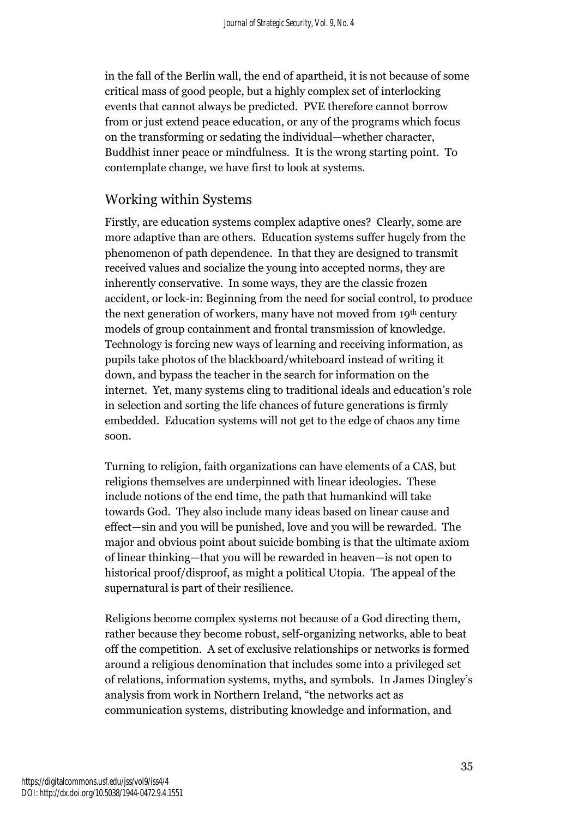in the fall of the Berlin wall, the end of apartheid, it is not because of some critical mass of good people, but a highly complex set of interlocking events that cannot always be predicted. PVE therefore cannot borrow from or just extend peace education, or any of the programs which focus on the transforming or sedating the individual—whether character, Buddhist inner peace or mindfulness. It is the wrong starting point. To contemplate change, we have first to look at systems.

# Working within Systems

Firstly, are education systems complex adaptive ones? Clearly, some are more adaptive than are others. Education systems suffer hugely from the phenomenon of path dependence. In that they are designed to transmit received values and socialize the young into accepted norms, they are inherently conservative. In some ways, they are the classic frozen accident, or lock-in: Beginning from the need for social control, to produce the next generation of workers, many have not moved from 19th century models of group containment and frontal transmission of knowledge. Technology is forcing new ways of learning and receiving information, as pupils take photos of the blackboard/whiteboard instead of writing it down, and bypass the teacher in the search for information on the internet. Yet, many systems cling to traditional ideals and education's role in selection and sorting the life chances of future generations is firmly embedded. Education systems will not get to the edge of chaos any time soon.

Turning to religion, faith organizations can have elements of a CAS, but religions themselves are underpinned with linear ideologies. These include notions of the end time, the path that humankind will take towards God. They also include many ideas based on linear cause and effect—sin and you will be punished, love and you will be rewarded. The major and obvious point about suicide bombing is that the ultimate axiom of linear thinking—that you will be rewarded in heaven—is not open to historical proof/disproof, as might a political Utopia. The appeal of the supernatural is part of their resilience.

Religions become complex systems not because of a God directing them, rather because they become robust, self-organizing networks, able to beat off the competition. A set of exclusive relationships or networks is formed around a religious denomination that includes some into a privileged set of relations, information systems, myths, and symbols. In James Dingley's analysis from work in Northern Ireland, "the networks act as communication systems, distributing knowledge and information, and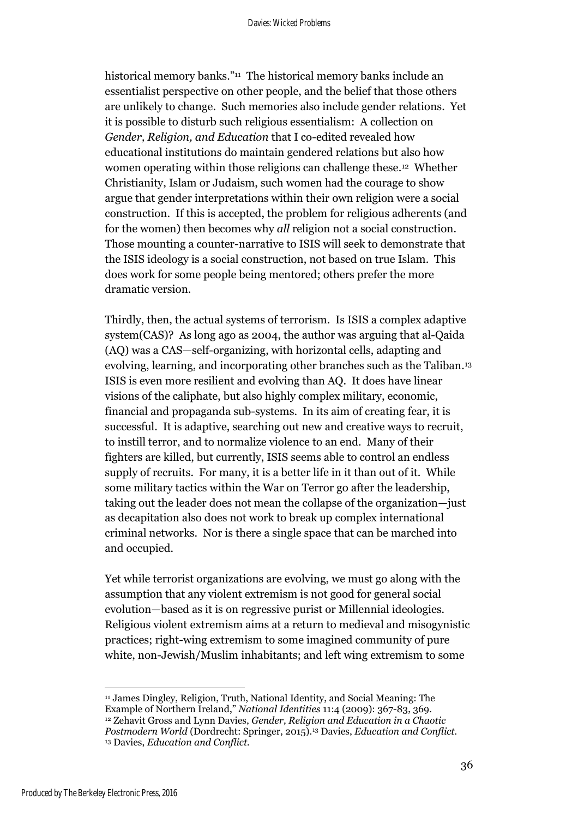historical memory banks." <sup>11</sup> The historical memory banks include an essentialist perspective on other people, and the belief that those others are unlikely to change. Such memories also include gender relations. Yet it is possible to disturb such religious essentialism: A collection on *Gender, Religion, and Education* that I co-edited revealed how educational institutions do maintain gendered relations but also how women operating within those religions can challenge these. <sup>12</sup> Whether Christianity, Islam or Judaism, such women had the courage to show argue that gender interpretations within their own religion were a social construction. If this is accepted, the problem for religious adherents (and for the women) then becomes why *all* religion not a social construction. Those mounting a counter-narrative to ISIS will seek to demonstrate that the ISIS ideology is a social construction, not based on true Islam. This does work for some people being mentored; others prefer the more dramatic version.

Thirdly, then, the actual systems of terrorism. Is ISIS a complex adaptive system(CAS)? As long ago as 2004, the author was arguing that al-Qaida (AQ) was a CAS—self-organizing, with horizontal cells, adapting and evolving, learning, and incorporating other branches such as the Taliban.<sup>13</sup> ISIS is even more resilient and evolving than AQ. It does have linear visions of the caliphate, but also highly complex military, economic, financial and propaganda sub-systems. In its aim of creating fear, it is successful. It is adaptive, searching out new and creative ways to recruit, to instill terror, and to normalize violence to an end. Many of their fighters are killed, but currently, ISIS seems able to control an endless supply of recruits. For many, it is a better life in it than out of it. While some military tactics within the War on Terror go after the leadership, taking out the leader does not mean the collapse of the organization—just as decapitation also does not work to break up complex international criminal networks. Nor is there a single space that can be marched into and occupied.

Yet while terrorist organizations are evolving, we must go along with the assumption that any violent extremism is not good for general social evolution—based as it is on regressive purist or Millennial ideologies. Religious violent extremism aims at a return to medieval and misogynistic practices; right-wing extremism to some imagined community of pure white, non-Jewish/Muslim inhabitants; and left wing extremism to some

 $\overline{a}$ <sup>11</sup> James Dingley, Religion, Truth, National Identity, and Social Meaning: The Example of Northern Ireland," *National Identities* 11:4 (2009): 367-83, 369. <sup>12</sup> Zehavit Gross and Lynn Davies, *Gender, Religion and Education in a Chaotic Postmodern World* (Dordrecht: Springer, 2015).<sup>13</sup> Davies, *Education and Conflict.* <sup>13</sup> Davies, *Education and Conflict.*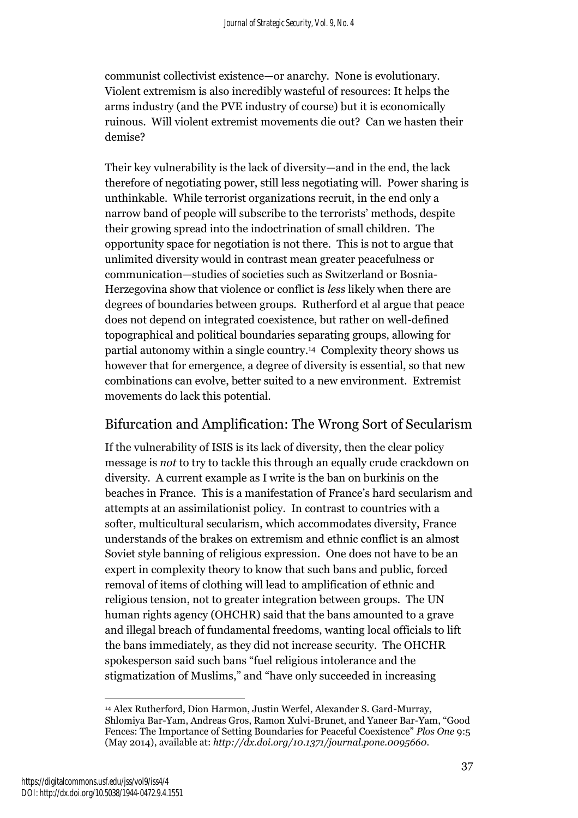communist collectivist existence—or anarchy. None is evolutionary. Violent extremism is also incredibly wasteful of resources: It helps the arms industry (and the PVE industry of course) but it is economically ruinous. Will violent extremist movements die out? Can we hasten their demise?

Their key vulnerability is the lack of diversity—and in the end, the lack therefore of negotiating power, still less negotiating will. Power sharing is unthinkable. While terrorist organizations recruit, in the end only a narrow band of people will subscribe to the terrorists' methods, despite their growing spread into the indoctrination of small children. The opportunity space for negotiation is not there. This is not to argue that unlimited diversity would in contrast mean greater peacefulness or communication—studies of societies such as Switzerland or Bosnia-Herzegovina show that violence or conflict is *less* likely when there are degrees of boundaries between groups. Rutherford et al argue that peace does not depend on integrated coexistence, but rather on well-defined topographical and political boundaries separating groups, allowing for partial autonomy within a single country. <sup>14</sup> Complexity theory shows us however that for emergence, a degree of diversity is essential, so that new combinations can evolve, better suited to a new environment. Extremist movements do lack this potential.

# Bifurcation and Amplification: The Wrong Sort of Secularism

If the vulnerability of ISIS is its lack of diversity, then the clear policy message is *not* to try to tackle this through an equally crude crackdown on diversity. A current example as I write is the ban on burkinis on the beaches in France. This is a manifestation of France's hard secularism and attempts at an assimilationist policy. In contrast to countries with a softer, multicultural secularism, which accommodates diversity, France understands of the brakes on extremism and ethnic conflict is an almost Soviet style banning of religious expression. One does not have to be an expert in complexity theory to know that such bans and public, forced removal of items of clothing will lead to amplification of ethnic and religious tension, not to greater integration between groups. The UN human rights agency (OHCHR) said that the bans amounted to a grave and illegal breach of fundamental freedoms, wanting local officials to lift the bans immediately, as they did not increase security. The OHCHR spokesperson said such bans "fuel religious intolerance and the stigmatization of Muslims," and "have only succeeded in increasing

 $\overline{a}$ <sup>14</sup> Alex Rutherford, Dion Harmon, Justin Werfel, Alexander S. Gard-Murray, Shlomiya Bar-Yam, Andreas Gros, Ramon Xulvi-Brunet, and Yaneer Bar-Yam, "Good Fences: The Importance of Setting Boundaries for Peaceful Coexistence" *Plos One* 9:5 (May 2014), available at: *http://dx.doi.org/10.1371/journal.pone.0095660.*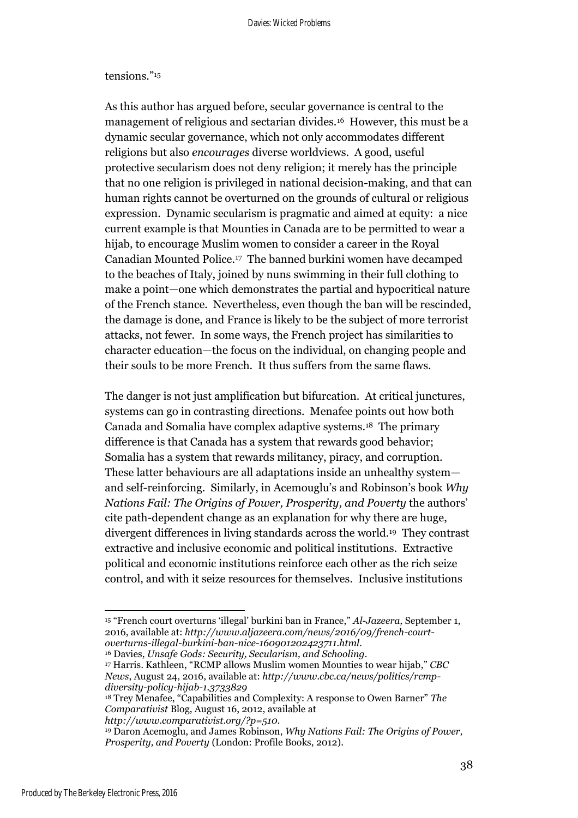#### tensions."<sup>15</sup>

As this author has argued before, secular governance is central to the management of religious and sectarian divides.16 However, this must be a dynamic secular governance, which not only accommodates different religions but also *encourages* diverse worldviews. A good, useful protective secularism does not deny religion; it merely has the principle that no one religion is privileged in national decision-making, and that can human rights cannot be overturned on the grounds of cultural or religious expression. Dynamic secularism is pragmatic and aimed at equity: a nice current example is that Mounties in Canada are to be permitted to wear a hijab, to encourage Muslim women to consider a career in the Royal Canadian Mounted Police. 17 The banned burkini women have decamped to the beaches of Italy, joined by nuns swimming in their full clothing to make a point—one which demonstrates the partial and hypocritical nature of the French stance. Nevertheless, even though the ban will be rescinded, the damage is done, and France is likely to be the subject of more terrorist attacks, not fewer. In some ways, the French project has similarities to character education—the focus on the individual, on changing people and their souls to be more French. It thus suffers from the same flaws.

The danger is not just amplification but bifurcation. At critical junctures, systems can go in contrasting directions. Menafee points out how both Canada and Somalia have complex adaptive systems.18 The primary difference is that Canada has a system that rewards good behavior; Somalia has a system that rewards militancy, piracy, and corruption. These latter behaviours are all adaptations inside an unhealthy system and self-reinforcing. Similarly, in Acemouglu's and Robinson's book *Why Nations Fail: The Origins of Power, Prosperity, and Poverty* the authors' cite path-dependent change as an explanation for why there are huge, divergent differences in living standards across the world.19 They contrast extractive and inclusive economic and political institutions. Extractive political and economic institutions reinforce each other as the rich seize control, and with it seize resources for themselves. Inclusive institutions

<sup>16</sup> Davies, *Unsafe Gods: Security, Secularism, and Schooling.*

*http://www.comparativist.org/?p=510.*

<sup>15</sup> "French court overturns 'illegal' burkini ban in France," *Al-Jazeera,* September 1, 2016, available at: *http://www.aljazeera.com/news/2016/09/french-courtoverturns-illegal-burkini-ban-nice-160901202423711.html.*

<sup>17</sup> Harris. Kathleen, "RCMP allows Muslim women Mounties to wear hijab," *CBC News*, August 24, 2016, available at: *http://www.cbc.ca/news/politics/rcmpdiversity-policy-hijab-1.3733829*

<sup>18</sup> Trey Menafee, "Capabilities and Complexity: A response to Owen Barner" *The Comparativist* Blog, August 16, 2012, available at

<sup>19</sup> Daron Acemoglu, and James Robinson, *Why Nations Fail: The Origins of Power, Prosperity, and Poverty* (London: Profile Books, 2012).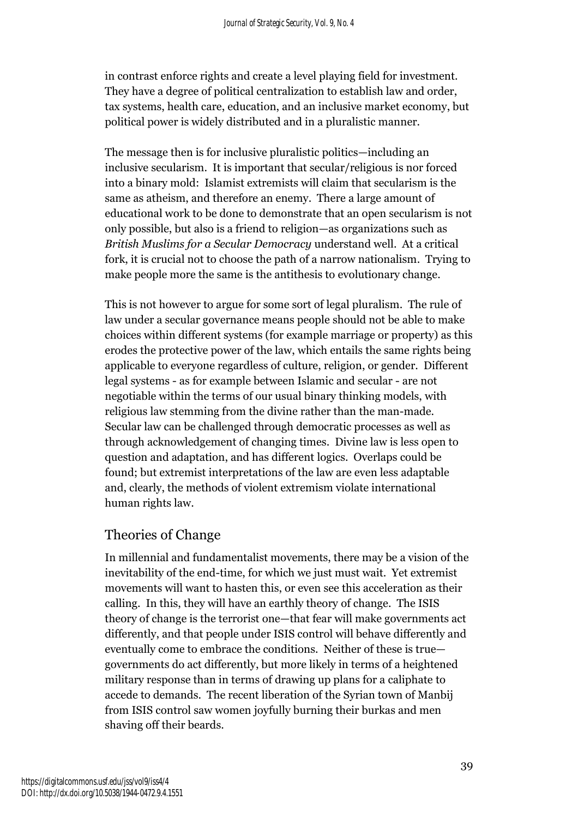in contrast enforce rights and create a level playing field for investment. They have a degree of political centralization to establish law and order, tax systems, health care, education, and an inclusive market economy, but political power is widely distributed and in a pluralistic manner.

The message then is for inclusive pluralistic politics—including an inclusive secularism. It is important that secular/religious is nor forced into a binary mold: Islamist extremists will claim that secularism is the same as atheism, and therefore an enemy. There a large amount of educational work to be done to demonstrate that an open secularism is not only possible, but also is a friend to religion—as organizations such as *British Muslims for a Secular Democracy* understand well. At a critical fork, it is crucial not to choose the path of a narrow nationalism. Trying to make people more the same is the antithesis to evolutionary change.

This is not however to argue for some sort of legal pluralism. The rule of law under a secular governance means people should not be able to make choices within different systems (for example marriage or property) as this erodes the protective power of the law, which entails the same rights being applicable to everyone regardless of culture, religion, or gender. Different legal systems - as for example between Islamic and secular - are not negotiable within the terms of our usual binary thinking models, with religious law stemming from the divine rather than the man-made. Secular law can be challenged through democratic processes as well as through acknowledgement of changing times. Divine law is less open to question and adaptation, and has different logics. Overlaps could be found; but extremist interpretations of the law are even less adaptable and, clearly, the methods of violent extremism violate international human rights law.

## Theories of Change

In millennial and fundamentalist movements, there may be a vision of the inevitability of the end-time, for which we just must wait. Yet extremist movements will want to hasten this, or even see this acceleration as their calling. In this, they will have an earthly theory of change. The ISIS theory of change is the terrorist one—that fear will make governments act differently, and that people under ISIS control will behave differently and eventually come to embrace the conditions. Neither of these is true governments do act differently, but more likely in terms of a heightened military response than in terms of drawing up plans for a caliphate to accede to demands. The recent liberation of the Syrian town of Manbij from ISIS control saw women joyfully burning their burkas and men shaving off their beards.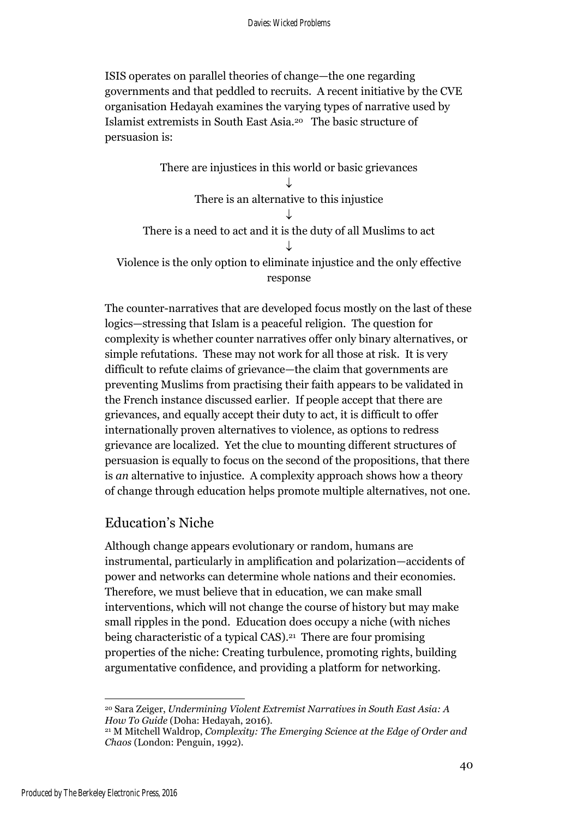ISIS operates on parallel theories of change—the one regarding governments and that peddled to recruits. A recent initiative by the CVE organisation Hedayah examines the varying types of narrative used by Islamist extremists in South East Asia. <sup>20</sup> The basic structure of persuasion is:

There are injustices in this world or basic grievances  $\downarrow$ There is an alternative to this injustice  $\downarrow$ There is a need to act and it is the duty of all Muslims to act  $\downarrow$ Violence is the only option to eliminate injustice and the only effective response

The counter-narratives that are developed focus mostly on the last of these logics—stressing that Islam is a peaceful religion. The question for complexity is whether counter narratives offer only binary alternatives, or simple refutations. These may not work for all those at risk. It is very difficult to refute claims of grievance—the claim that governments are preventing Muslims from practising their faith appears to be validated in the French instance discussed earlier. If people accept that there are grievances, and equally accept their duty to act, it is difficult to offer internationally proven alternatives to violence, as options to redress grievance are localized. Yet the clue to mounting different structures of persuasion is equally to focus on the second of the propositions, that there is *an* alternative to injustice. A complexity approach shows how a theory of change through education helps promote multiple alternatives, not one.

## Education's Niche

Although change appears evolutionary or random, humans are instrumental, particularly in amplification and polarization—accidents of power and networks can determine whole nations and their economies. Therefore, we must believe that in education, we can make small interventions, which will not change the course of history but may make small ripples in the pond. Education does occupy a niche (with niches being characteristic of a typical CAS).<sup>21</sup> There are four promising properties of the niche: Creating turbulence, promoting rights, building argumentative confidence, and providing a platform for networking.

<sup>20</sup> Sara Zeiger, *Undermining Violent Extremist Narratives in South East Asia: A How To Guide* (Doha: Hedayah, 2016).

<sup>21</sup> M Mitchell Waldrop, *Complexity: The Emerging Science at the Edge of Order and Chaos* (London: Penguin, 1992).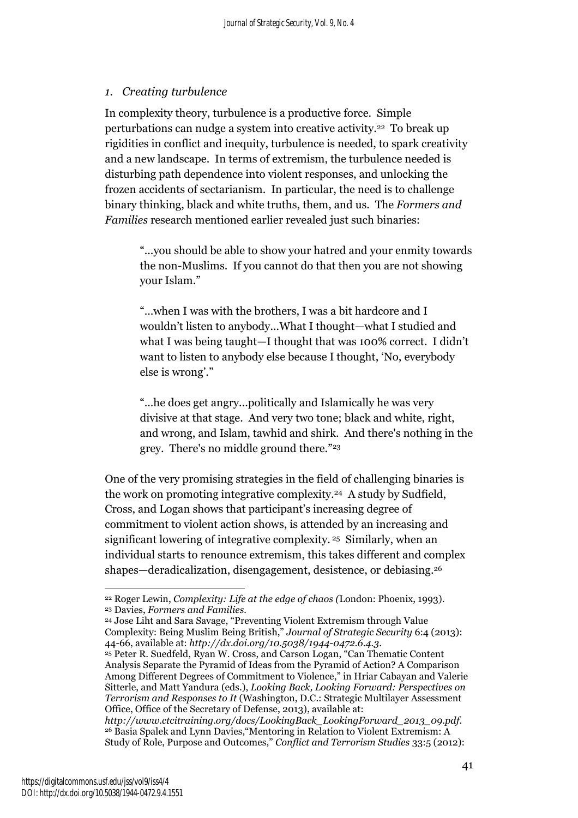### *1. Creating turbulence*

In complexity theory, turbulence is a productive force. Simple perturbations can nudge a system into creative activity. <sup>22</sup> To break up rigidities in conflict and inequity, turbulence is needed, to spark creativity and a new landscape. In terms of extremism, the turbulence needed is disturbing path dependence into violent responses, and unlocking the frozen accidents of sectarianism. In particular, the need is to challenge binary thinking, black and white truths, them, and us. The *Formers and Families* research mentioned earlier revealed just such binaries:

"...you should be able to show your hatred and your enmity towards the non-Muslims. If you cannot do that then you are not showing your Islam."

"…when I was with the brothers, I was a bit hardcore and I wouldn't listen to anybody...What I thought—what I studied and what I was being taught—I thought that was 100% correct. I didn't want to listen to anybody else because I thought, 'No, everybody else is wrong'."

"…he does get angry...politically and Islamically he was very divisive at that stage. And very two tone; black and white, right, and wrong, and Islam, tawhid and shirk. And there's nothing in the grey. There's no middle ground there." 23

One of the very promising strategies in the field of challenging binaries is the work on promoting integrative complexity. <sup>24</sup> A study by Sudfield, Cross, and Logan shows that participant's increasing degree of commitment to violent action shows, is attended by an increasing and significant lowering of integrative complexity. <sup>25</sup> Similarly, when an individual starts to renounce extremism, this takes different and complex shapes—deradicalization, disengagement, desistence, or debiasing. 26

 $\overline{a}$ <sup>22</sup> Roger Lewin, *Complexity: Life at the edge of chaos (*London: Phoenix, 1993). <sup>23</sup> Davies, *Formers and Families.*

<sup>24</sup> Jose Liht and Sara Savage, "Preventing Violent Extremism through Value Complexity: Being Muslim Being British," *Journal of Strategic Security* 6:4 (2013): 44-66, available at: *http://dx.doi.org/10.5038/1944-0472.6.4.3*.

<sup>25</sup> Peter R. Suedfeld, Ryan W. Cross, and Carson Logan, "Can Thematic Content Analysis Separate the Pyramid of Ideas from the Pyramid of Action? A Comparison Among Different Degrees of Commitment to Violence," in Hriar Cabayan and Valerie Sitterle, and Matt Yandura (eds.), *Looking Back, Looking Forward: Perspectives on Terrorism and Responses to It* (Washington, D.C.: Strategic Multilayer Assessment Office, Office of the Secretary of Defense, 2013), available at:

*http://www.ctcitraining.org/docs/LookingBack\_LookingForward\_2013\_09.pdf.* <sup>26</sup> Basia Spalek and Lynn Davies,"Mentoring in Relation to Violent Extremism: A Study of Role, Purpose and Outcomes," *Conflict and Terrorism Studies* 33:5 (2012):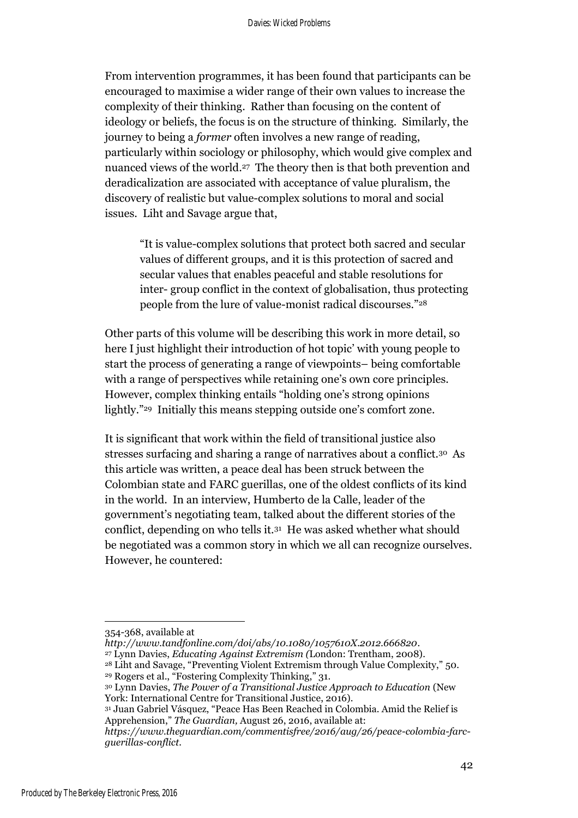From intervention programmes, it has been found that participants can be encouraged to maximise a wider range of their own values to increase the complexity of their thinking. Rather than focusing on the content of ideology or beliefs, the focus is on the structure of thinking. Similarly, the journey to being a *former* often involves a new range of reading, particularly within sociology or philosophy, which would give complex and nuanced views of the world. 27 The theory then is that both prevention and deradicalization are associated with acceptance of value pluralism, the discovery of realistic but value-complex solutions to moral and social issues. Liht and Savage argue that,

"It is value-complex solutions that protect both sacred and secular values of different groups, and it is this protection of sacred and secular values that enables peaceful and stable resolutions for inter- group conflict in the context of globalisation, thus protecting people from the lure of value-monist radical discourses."<sup>28</sup>

Other parts of this volume will be describing this work in more detail, so here I just highlight their introduction of hot topic' with young people to start the process of generating a range of viewpoints– being comfortable with a range of perspectives while retaining one's own core principles. However, complex thinking entails "holding one's strong opinions lightly."<sup>29</sup> Initially this means stepping outside one's comfort zone.

It is significant that work within the field of transitional justice also stresses surfacing and sharing a range of narratives about a conflict.<sup>30</sup> As this article was written, a peace deal has been struck between the Colombian state and FARC guerillas, one of the oldest conflicts of its kind in the world. In an interview, Humberto de la Calle, leader of the government's negotiating team, talked about the different stories of the conflict, depending on who tells it.<sup>31</sup> He was asked whether what should be negotiated was a common story in which we all can recognize ourselves. However, he countered:

<sup>354-368,</sup> available at

*http://www.tandfonline.com/doi/abs/10.1080/1057610X.2012.666820*.

<sup>27</sup> Lynn Davies, *Educating Against Extremism (*London: Trentham, 2008).

<sup>28</sup> Liht and Savage, "Preventing Violent Extremism through Value Complexity," 50. <sup>29</sup> Rogers et al., "Fostering Complexity Thinking," 31.

<sup>30</sup> Lynn Davies, *The Power of a Transitional Justice Approach to Education* (New York: International Centre for Transitional Justice, 2016).

<sup>31</sup> Juan Gabriel Vásquez, "Peace Has Been Reached in Colombia. Amid the Relief is Apprehension," *The Guardian,* August 26, 2016, available at:

*https://www.theguardian.com/commentisfree/2016/aug/26/peace-colombia-farcguerillas-conflict.*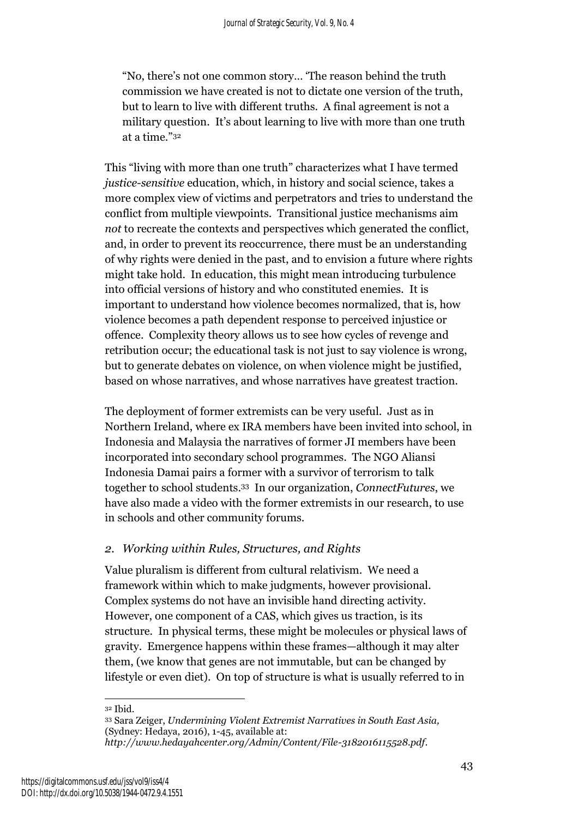"No, there's not one common story… 'The reason behind the truth commission we have created is not to dictate one version of the truth, but to learn to live with different truths. A final agreement is not a military question. It's about learning to live with more than one truth at a time."<sup>32</sup>

This "living with more than one truth" characterizes what I have termed *justice-sensitive* education, which, in history and social science, takes a more complex view of victims and perpetrators and tries to understand the conflict from multiple viewpoints. Transitional justice mechanisms aim *not* to recreate the contexts and perspectives which generated the conflict, and, in order to prevent its reoccurrence, there must be an understanding of why rights were denied in the past, and to envision a future where rights might take hold. In education, this might mean introducing turbulence into official versions of history and who constituted enemies. It is important to understand how violence becomes normalized, that is, how violence becomes a path dependent response to perceived injustice or offence. Complexity theory allows us to see how cycles of revenge and retribution occur; the educational task is not just to say violence is wrong, but to generate debates on violence, on when violence might be justified, based on whose narratives, and whose narratives have greatest traction.

The deployment of former extremists can be very useful. Just as in Northern Ireland, where ex IRA members have been invited into school, in Indonesia and Malaysia the narratives of former JI members have been incorporated into secondary school programmes. The NGO Aliansi Indonesia Damai pairs a former with a survivor of terrorism to talk together to school students. <sup>33</sup> In our organization, *ConnectFutures*, we have also made a video with the former extremists in our research, to use in schools and other community forums.

### *2. Working within Rules, Structures, and Rights*

Value pluralism is different from cultural relativism. We need a framework within which to make judgments, however provisional. Complex systems do not have an invisible hand directing activity. However, one component of a CAS, which gives us traction, is its structure. In physical terms, these might be molecules or physical laws of gravity. Emergence happens within these frames—although it may alter them, (we know that genes are not immutable, but can be changed by lifestyle or even diet). On top of structure is what is usually referred to in

 $\overline{a}$ <sup>32</sup> Ibid.

<sup>33</sup> Sara Zeiger, *Undermining Violent Extremist Narratives in South East Asia,*  (Sydney: Hedaya, 2016), 1-45, available at: *http://www.hedayahcenter.org/Admin/Content/File-3182016115528.pdf*.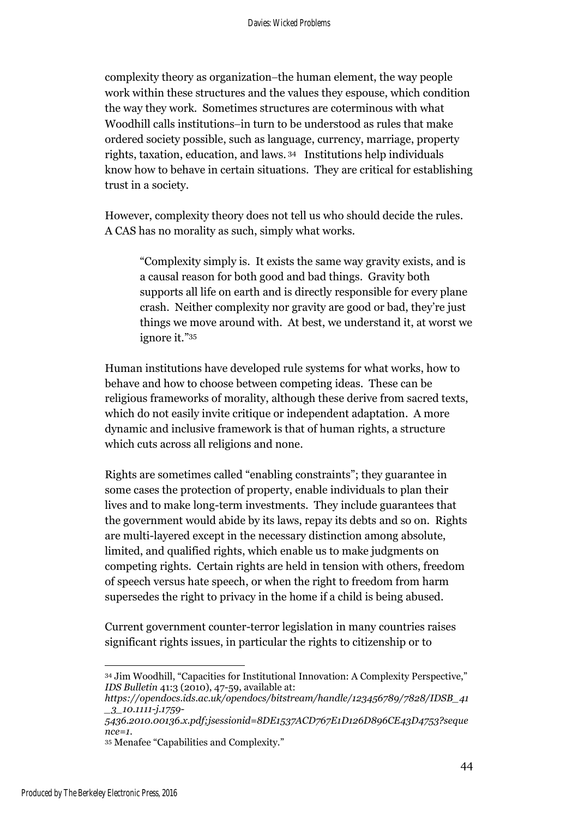complexity theory as organization-the human element, the way people work within these structures and the values they espouse, which condition the way they work. Sometimes structures are coterminous with what Woodhill calls institutions-in turn to be understood as rules that make ordered society possible, such as language, currency, marriage, property rights, taxation, education, and laws. <sup>34</sup> Institutions help individuals know how to behave in certain situations. They are critical for establishing trust in a society.

However, complexity theory does not tell us who should decide the rules. A CAS has no morality as such, simply what works.

"Complexity simply is. It exists the same way gravity exists, and is a causal reason for both good and bad things. Gravity both supports all life on earth and is directly responsible for every plane crash. Neither complexity nor gravity are good or bad, they're just things we move around with. At best, we understand it, at worst we ignore it." 35

Human institutions have developed rule systems for what works, how to behave and how to choose between competing ideas. These can be religious frameworks of morality, although these derive from sacred texts, which do not easily invite critique or independent adaptation. A more dynamic and inclusive framework is that of human rights, a structure which cuts across all religions and none.

Rights are sometimes called "enabling constraints"; they guarantee in some cases the protection of property, enable individuals to plan their lives and to make long-term investments. They include guarantees that the government would abide by its laws, repay its debts and so on. Rights are multi-layered except in the necessary distinction among absolute, limited, and qualified rights, which enable us to make judgments on competing rights. Certain rights are held in tension with others, freedom of speech versus hate speech, or when the right to freedom from harm supersedes the right to privacy in the home if a child is being abused.

Current government counter-terror legislation in many countries raises significant rights issues, in particular the rights to citizenship or to

 $\overline{a}$ <sup>34</sup> Jim Woodhill, "Capacities for Institutional Innovation: A Complexity Perspective," *IDS Bulletin* 41:3 (2010), 47-59, available at:

*https://opendocs.ids.ac.uk/opendocs/bitstream/handle/123456789/7828/IDSB\_41 \_3\_10.1111-j.1759-*

*<sup>5436.2010.00136.</sup>x.pdf;jsessionid=8DE1537ACD767E1D126D896CE43D4753?seque nce=1.*

<sup>35</sup> Menafee "Capabilities and Complexity."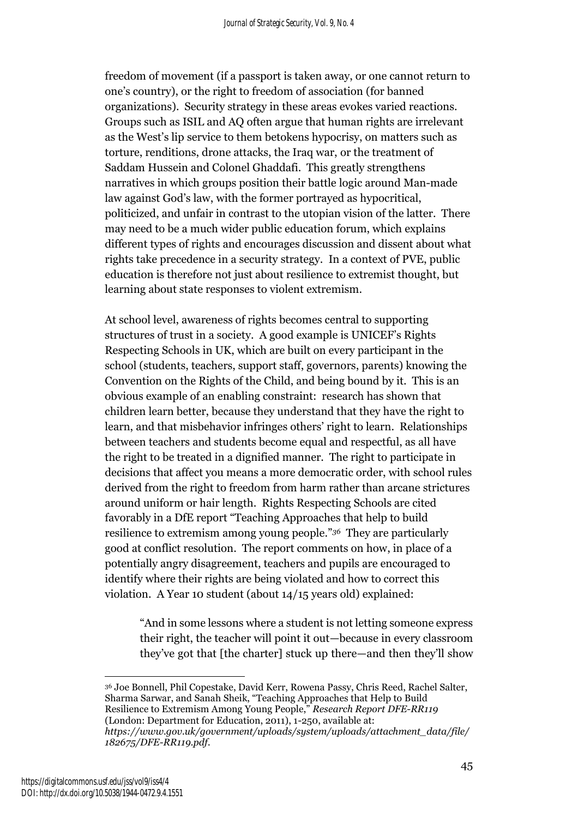freedom of movement (if a passport is taken away, or one cannot return to one's country), or the right to freedom of association (for banned organizations). Security strategy in these areas evokes varied reactions. Groups such as ISIL and AQ often argue that human rights are irrelevant as the West's lip service to them betokens hypocrisy, on matters such as torture, renditions, drone attacks, the Iraq war, or the treatment of Saddam Hussein and Colonel Ghaddafi. This greatly strengthens narratives in which groups position their battle logic around Man-made law against God's law, with the former portrayed as hypocritical, politicized, and unfair in contrast to the utopian vision of the latter. There may need to be a much wider public education forum, which explains different types of rights and encourages discussion and dissent about what rights take precedence in a security strategy. In a context of PVE, public education is therefore not just about resilience to extremist thought, but learning about state responses to violent extremism.

At school level, awareness of rights becomes central to supporting structures of trust in a society. A good example is UNICEF's Rights Respecting Schools in UK, which are built on every participant in the school (students, teachers, support staff, governors, parents) knowing the Convention on the Rights of the Child, and being bound by it. This is an obvious example of an enabling constraint: research has shown that children learn better, because they understand that they have the right to learn, and that misbehavior infringes others' right to learn. Relationships between teachers and students become equal and respectful, as all have the right to be treated in a dignified manner. The right to participate in decisions that affect you means a more democratic order, with school rules derived from the right to freedom from harm rather than arcane strictures around uniform or hair length. Rights Respecting Schools are cited favorably in a DfE report "Teaching Approaches that help to build resilience to extremism among young people." *<sup>36</sup>* They are particularly good at conflict resolution. The report comments on how, in place of a potentially angry disagreement, teachers and pupils are encouraged to identify where their rights are being violated and how to correct this violation. A Year 10 student (about 14/15 years old) explained:

"And in some lessons where a student is not letting someone express their right, the teacher will point it out—because in every classroom they've got that [the charter] stuck up there—and then they'll show

<sup>36</sup> Joe Bonnell, Phil Copestake, David Kerr, Rowena Passy, Chris Reed, Rachel Salter, Sharma Sarwar, and Sanah Sheik, "Teaching Approaches that Help to Build Resilience to Extremism Among Young People," *Research Report DFE-RR119* (London: Department for Education, 2011), 1-250, available at: *https://www.gov.uk/government/uploads/system/uploads/attachment\_data/file/ 182675/DFE-RR119.pdf.*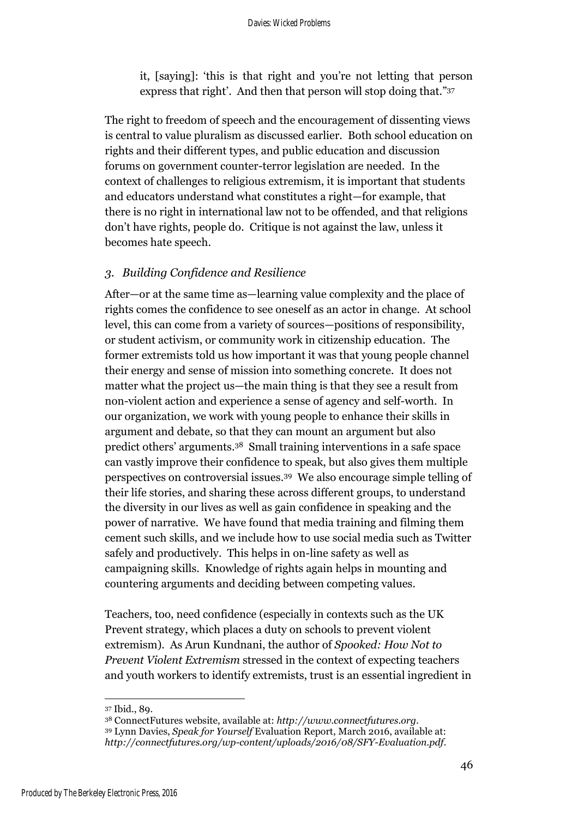it, [saying]: 'this is that right and you're not letting that person express that right'. And then that person will stop doing that." 37

The right to freedom of speech and the encouragement of dissenting views is central to value pluralism as discussed earlier. Both school education on rights and their different types, and public education and discussion forums on government counter-terror legislation are needed. In the context of challenges to religious extremism, it is important that students and educators understand what constitutes a right—for example, that there is no right in international law not to be offended, and that religions don't have rights, people do. Critique is not against the law, unless it becomes hate speech.

### *3. Building Confidence and Resilience*

After—or at the same time as—learning value complexity and the place of rights comes the confidence to see oneself as an actor in change. At school level, this can come from a variety of sources—positions of responsibility, or student activism, or community work in citizenship education. The former extremists told us how important it was that young people channel their energy and sense of mission into something concrete. It does not matter what the project us—the main thing is that they see a result from non-violent action and experience a sense of agency and self-worth. In our organization, we work with young people to enhance their skills in argument and debate, so that they can mount an argument but also predict others' arguments. <sup>38</sup> Small training interventions in a safe space can vastly improve their confidence to speak, but also gives them multiple perspectives on controversial issues. <sup>39</sup> We also encourage simple telling of their life stories, and sharing these across different groups, to understand the diversity in our lives as well as gain confidence in speaking and the power of narrative. We have found that media training and filming them cement such skills, and we include how to use social media such as Twitter safely and productively. This helps in on-line safety as well as campaigning skills. Knowledge of rights again helps in mounting and countering arguments and deciding between competing values.

Teachers, too, need confidence (especially in contexts such as the UK Prevent strategy, which places a duty on schools to prevent violent extremism). As Arun Kundnani, the author of *Spooked: How Not to Prevent Violent Extremism* stressed in the context of expecting teachers and youth workers to identify extremists, trust is an essential ingredient in

<sup>37</sup> Ibid., 89.

<sup>38</sup> ConnectFutures website, available at: *http://www.connectfutures.org.* <sup>39</sup> Lynn Davies, *Speak for Yourself* Evaluation Report, March 2016, available at: *http://connectfutures.org/wp-content/uploads/2016/08/SFY-Evaluation.pdf.*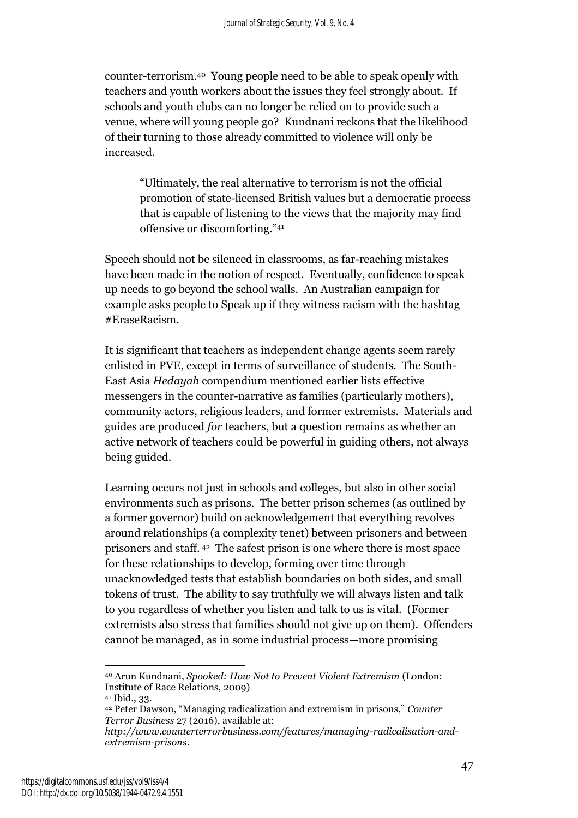counter-terrorism. <sup>40</sup> Young people need to be able to speak openly with teachers and youth workers about the issues they feel strongly about. If schools and youth clubs can no longer be relied on to provide such a venue, where will young people go? Kundnani reckons that the likelihood of their turning to those already committed to violence will only be increased.

"Ultimately, the real alternative to terrorism is not the official promotion of state-licensed British values but a democratic process that is capable of listening to the views that the majority may find offensive or discomforting." 41

Speech should not be silenced in classrooms, as far-reaching mistakes have been made in the notion of respect. Eventually, confidence to speak up needs to go beyond the school walls. An Australian campaign for example asks people to Speak up if they witness racism with the hashtag #EraseRacism.

It is significant that teachers as independent change agents seem rarely enlisted in PVE, except in terms of surveillance of students. The South-East Asia *Hedayah* compendium mentioned earlier lists effective messengers in the counter-narrative as families (particularly mothers), community actors, religious leaders, and former extremists. Materials and guides are produced *for* teachers, but a question remains as whether an active network of teachers could be powerful in guiding others, not always being guided.

Learning occurs not just in schools and colleges, but also in other social environments such as prisons. The better prison schemes (as outlined by a former governor) build on acknowledgement that everything revolves around relationships (a complexity tenet) between prisoners and between prisoners and staff. <sup>42</sup> The safest prison is one where there is most space for these relationships to develop, forming over time through unacknowledged tests that establish boundaries on both sides, and small tokens of trust. The ability to say truthfully we will always listen and talk to you regardless of whether you listen and talk to us is vital. (Former extremists also stress that families should not give up on them). Offenders cannot be managed, as in some industrial process—more promising

 $\overline{a}$ <sup>40</sup> Arun Kundnani, *Spooked: How Not to Prevent Violent Extremism* (London: Institute of Race Relations, 2009)

<sup>41</sup> Ibid., 33.

<sup>42</sup> Peter Dawson, "Managing radicalization and extremism in prisons," *Counter Terror Business* 27 (2016), available at:

*http://www.counterterrorbusiness.com/features/managing-radicalisation-andextremism-prisons*.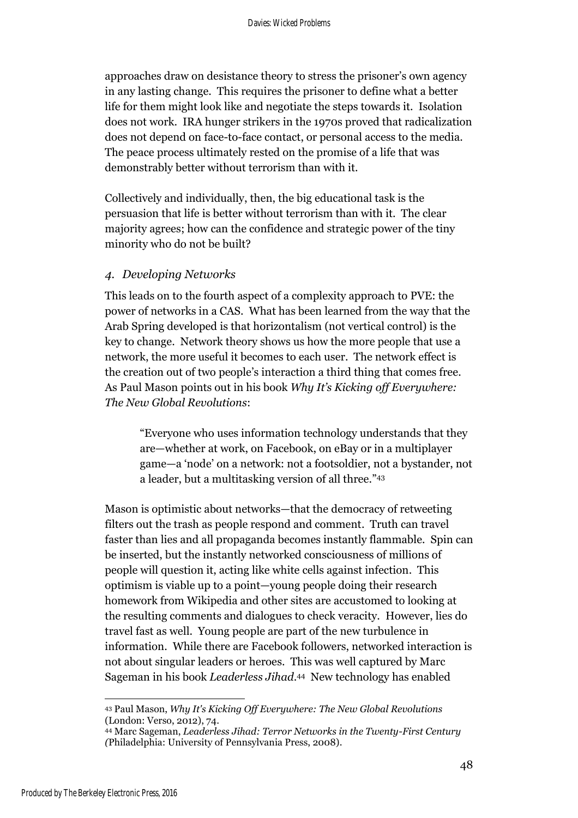approaches draw on desistance theory to stress the prisoner's own agency in any lasting change. This requires the prisoner to define what a better life for them might look like and negotiate the steps towards it. Isolation does not work. IRA hunger strikers in the 1970s proved that radicalization does not depend on face-to-face contact, or personal access to the media. The peace process ultimately rested on the promise of a life that was demonstrably better without terrorism than with it.

Collectively and individually, then, the big educational task is the persuasion that life is better without terrorism than with it. The clear majority agrees; how can the confidence and strategic power of the tiny minority who do not be built?

### *4. Developing Networks*

This leads on to the fourth aspect of a complexity approach to PVE: the power of networks in a CAS. What has been learned from the way that the Arab Spring developed is that horizontalism (not vertical control) is the key to change. Network theory shows us how the more people that use a network, the more useful it becomes to each user. The network effect is the creation out of two people's interaction a third thing that comes free. As Paul Mason points out in his book *Why It's Kicking off Everywhere: The New Global Revolutions*:

"Everyone who uses information technology understands that they are—whether at work, on Facebook, on eBay or in a multiplayer game—a 'node' on a network: not a footsoldier, not a bystander, not a leader, but a multitasking version of all three." 43

Mason is optimistic about networks—that the democracy of retweeting filters out the trash as people respond and comment. Truth can travel faster than lies and all propaganda becomes instantly flammable. Spin can be inserted, but the instantly networked consciousness of millions of people will question it, acting like white cells against infection. This optimism is viable up to a point—young people doing their research homework from Wikipedia and other sites are accustomed to looking at the resulting comments and dialogues to check veracity. However, lies do travel fast as well. Young people are part of the new turbulence in information. While there are Facebook followers, networked interaction is not about singular leaders or heroes. This was well captured by Marc Sageman in his book *Leaderless Jihad*. <sup>44</sup> New technology has enabled

<sup>43</sup> Paul Mason, *Why It's Kicking Off Everywhere: The New Global Revolutions*  (London: Verso, 2012), 74.

<sup>44</sup> Marc Sageman, *Leaderless Jihad: Terror Networks in the Twenty-First Century (*Philadelphia: University of Pennsylvania Press, 2008).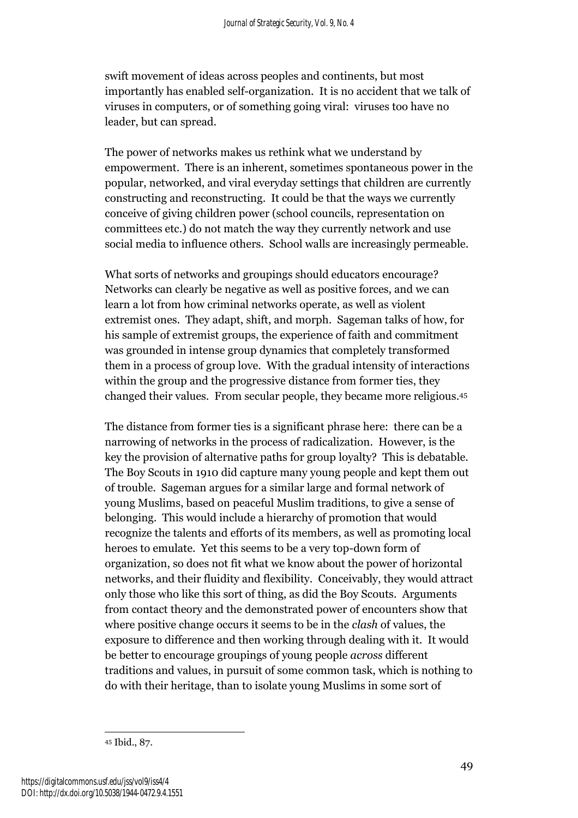swift movement of ideas across peoples and continents, but most importantly has enabled self-organization. It is no accident that we talk of viruses in computers, or of something going viral: viruses too have no leader, but can spread.

The power of networks makes us rethink what we understand by empowerment. There is an inherent, sometimes spontaneous power in the popular, networked, and viral everyday settings that children are currently constructing and reconstructing. It could be that the ways we currently conceive of giving children power (school councils, representation on committees etc.) do not match the way they currently network and use social media to influence others. School walls are increasingly permeable.

What sorts of networks and groupings should educators encourage? Networks can clearly be negative as well as positive forces, and we can learn a lot from how criminal networks operate, as well as violent extremist ones. They adapt, shift, and morph. Sageman talks of how, for his sample of extremist groups, the experience of faith and commitment was grounded in intense group dynamics that completely transformed them in a process of group love. With the gradual intensity of interactions within the group and the progressive distance from former ties, they changed their values. From secular people, they became more religious. 45

The distance from former ties is a significant phrase here: there can be a narrowing of networks in the process of radicalization. However, is the key the provision of alternative paths for group loyalty? This is debatable. The Boy Scouts in 1910 did capture many young people and kept them out of trouble. Sageman argues for a similar large and formal network of young Muslims, based on peaceful Muslim traditions, to give a sense of belonging. This would include a hierarchy of promotion that would recognize the talents and efforts of its members, as well as promoting local heroes to emulate. Yet this seems to be a very top-down form of organization, so does not fit what we know about the power of horizontal networks, and their fluidity and flexibility. Conceivably, they would attract only those who like this sort of thing, as did the Boy Scouts. Arguments from contact theory and the demonstrated power of encounters show that where positive change occurs it seems to be in the *clash* of values, the exposure to difference and then working through dealing with it. It would be better to encourage groupings of young people *across* different traditions and values, in pursuit of some common task, which is nothing to do with their heritage, than to isolate young Muslims in some sort of

<sup>45</sup> Ibid., 87.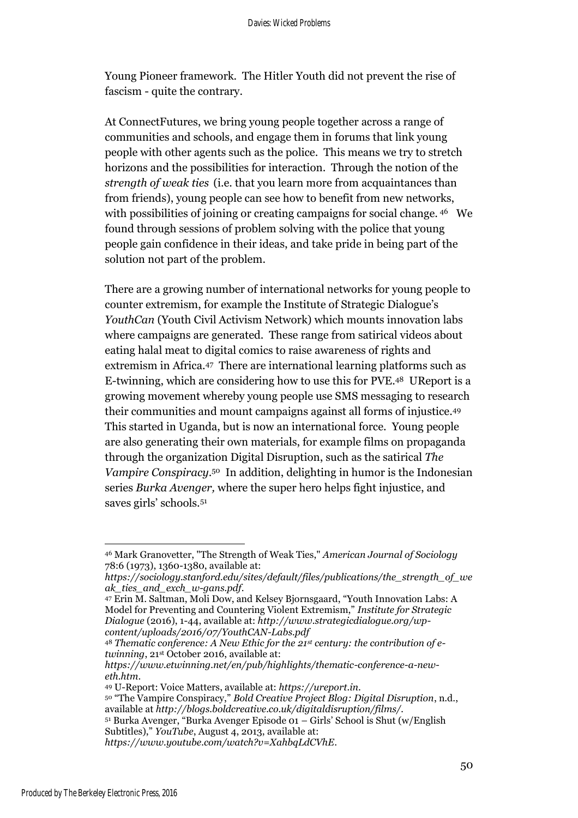Young Pioneer framework. The Hitler Youth did not prevent the rise of fascism - quite the contrary.

At ConnectFutures, we bring young people together across a range of communities and schools, and engage them in forums that link young people with other agents such as the police. This means we try to stretch horizons and the possibilities for interaction. Through the notion of the *strength of weak ties* (i.e. that you learn more from acquaintances than from friends), young people can see how to benefit from new networks, with possibilities of joining or creating campaigns for social change.  $46$  We found through sessions of problem solving with the police that young people gain confidence in their ideas, and take pride in being part of the solution not part of the problem.

There are a growing number of international networks for young people to counter extremism, for example the Institute of Strategic Dialogue's *YouthCan* (Youth Civil Activism Network) which mounts innovation labs where campaigns are generated. These range from satirical videos about eating halal meat to digital comics to raise awareness of rights and extremism in Africa. 47 There are international learning platforms such as E-twinning, which are considering how to use this for PVE. <sup>48</sup> UReport is a growing movement whereby young people use SMS messaging to research their communities and mount campaigns against all forms of injustice. 49 This started in Uganda, but is now an international force. Young people are also generating their own materials, for example films on propaganda through the organization Digital Disruption, such as the satirical *The Vampire Conspiracy*. <sup>50</sup> In addition, delighting in humor is the Indonesian series *Burka Avenger,* where the super hero helps fight injustice, and saves girls' schools.<sup>51</sup>

 $\overline{a}$ <sup>46</sup> Mark Granovetter, "The Strength of Weak Ties," *American Journal of Sociology* 78:6 (1973), 1360-1380, available at:

*https://sociology.stanford.edu/sites/default/files/publications/the\_strength\_of\_we ak\_ties\_and\_exch\_w-gans.pdf*.

<sup>47</sup> Erin M. Saltman, Moli Dow, and Kelsey Bjornsgaard, "Youth Innovation Labs: A Model for Preventing and Countering Violent Extremism," *Institute for Strategic Dialogue* (2016), 1-44, available at: *http://www.strategicdialogue.org/wpcontent/uploads/2016/07/YouthCAN-Labs.pdf*

<sup>48</sup> *Thematic conference: A New Ethic for the 21st century: the contribution of etwinning*, 21st October 2016, available at:

*https://www.etwinning.net/en/pub/highlights/thematic-conference-a-neweth.htm*.

<sup>49</sup> U-Report: Voice Matters, available at: *https://ureport.in*.

<sup>50</sup> "The Vampire Conspiracy," *Bold Creative Project Blog: Digital Disruption*, n.d., available at *http://blogs.boldcreative.co.uk/digitaldisruption/films/.*

<sup>51</sup> Burka Avenger, "Burka Avenger Episode 01 – Girls' School is Shut (w/English Subtitles)," *YouTube*, August 4, 2013, available at:

*https://www.youtube.com/watch?v=XahbqLdCVhE*.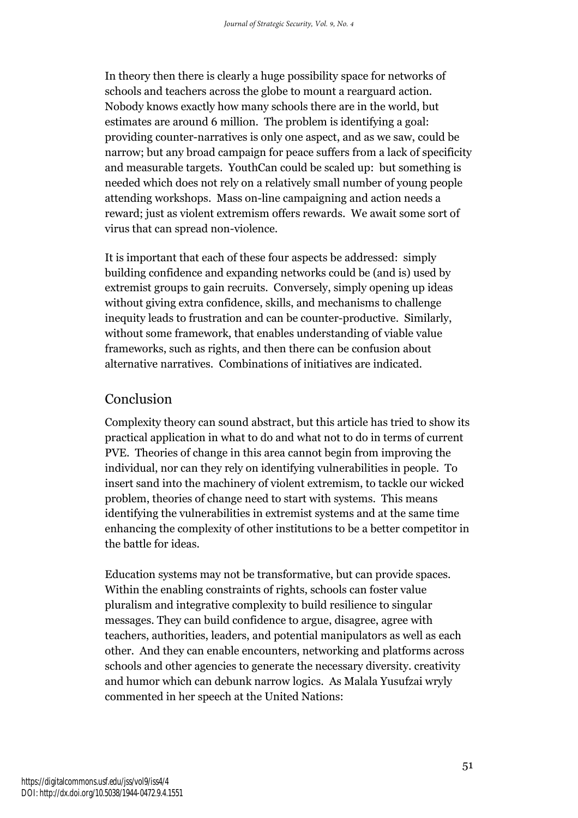In theory then there is clearly a huge possibility space for networks of schools and teachers across the globe to mount a rearguard action. Nobody knows exactly how many schools there are in the world, but estimates are around 6 million. The problem is identifying a goal: providing counter-narratives is only one aspect, and as we saw, could be narrow; but any broad campaign for peace suffers from a lack of specificity and measurable targets. YouthCan could be scaled up: but something is needed which does not rely on a relatively small number of young people attending workshops. Mass on-line campaigning and action needs a reward; just as violent extremism offers rewards. We await some sort of virus that can spread non-violence.

It is important that each of these four aspects be addressed: simply building confidence and expanding networks could be (and is) used by extremist groups to gain recruits. Conversely, simply opening up ideas without giving extra confidence, skills, and mechanisms to challenge inequity leads to frustration and can be counter-productive. Similarly, without some framework, that enables understanding of viable value frameworks, such as rights, and then there can be confusion about alternative narratives. Combinations of initiatives are indicated.

# Conclusion

Complexity theory can sound abstract, but this article has tried to show its practical application in what to do and what not to do in terms of current PVE. Theories of change in this area cannot begin from improving the individual, nor can they rely on identifying vulnerabilities in people. To insert sand into the machinery of violent extremism, to tackle our wicked problem, theories of change need to start with systems. This means identifying the vulnerabilities in extremist systems and at the same time enhancing the complexity of other institutions to be a better competitor in the battle for ideas.

Education systems may not be transformative, but can provide spaces. Within the enabling constraints of rights, schools can foster value pluralism and integrative complexity to build resilience to singular messages. They can build confidence to argue, disagree, agree with teachers, authorities, leaders, and potential manipulators as well as each other. And they can enable encounters, networking and platforms across schools and other agencies to generate the necessary diversity. creativity and humor which can debunk narrow logics. As Malala Yusufzai wryly commented in her speech at the United Nations: